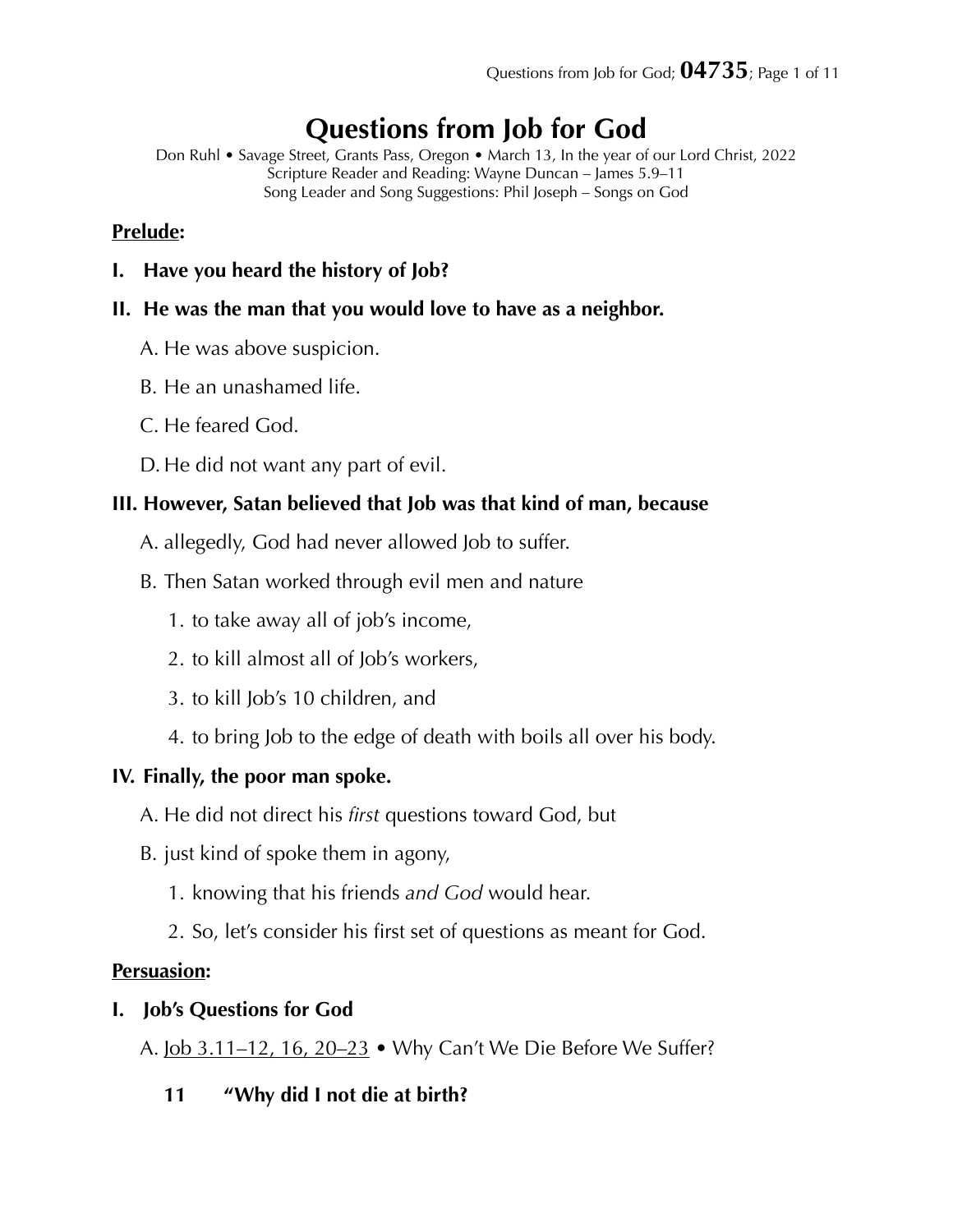# **Questions from Job for God**

Don Ruhl • Savage Street, Grants Pass, Oregon • March 13, In the year of our Lord Christ, 2022 Scripture Reader and Reading: Wayne Duncan – James 5.9–11 Song Leader and Song Suggestions: Phil Joseph – Songs on God

#### **Prelude:**

**I. Have you heard the history of Job?** 

#### **II. He was the man that you would love to have as a neighbor.**

- A. He was above suspicion.
- B. He an unashamed life.
- C. He feared God.
- D. He did not want any part of evil.

## **III. However, Satan believed that Job was that kind of man, because**

- A. allegedly, God had never allowed Job to suffer.
- B. Then Satan worked through evil men and nature
	- 1. to take away all of job's income,
	- 2. to kill almost all of Job's workers,
	- 3. to kill Job's 10 children, and
	- 4. to bring Job to the edge of death with boils all over his body.

## **IV. Finally, the poor man spoke.**

- A. He did not direct his *first* questions toward God, but
- B. just kind of spoke them in agony,
	- 1. knowing that his friends *and God* would hear.
	- 2. So, let's consider his first set of questions as meant for God.

#### **Persuasion:**

#### **I. Job's Questions for God**

A. <u>Job 3.11–12, 16, 20–23</u> • Why Can't We Die Before We Suffer?

## **11 "Why did I not die at birth?**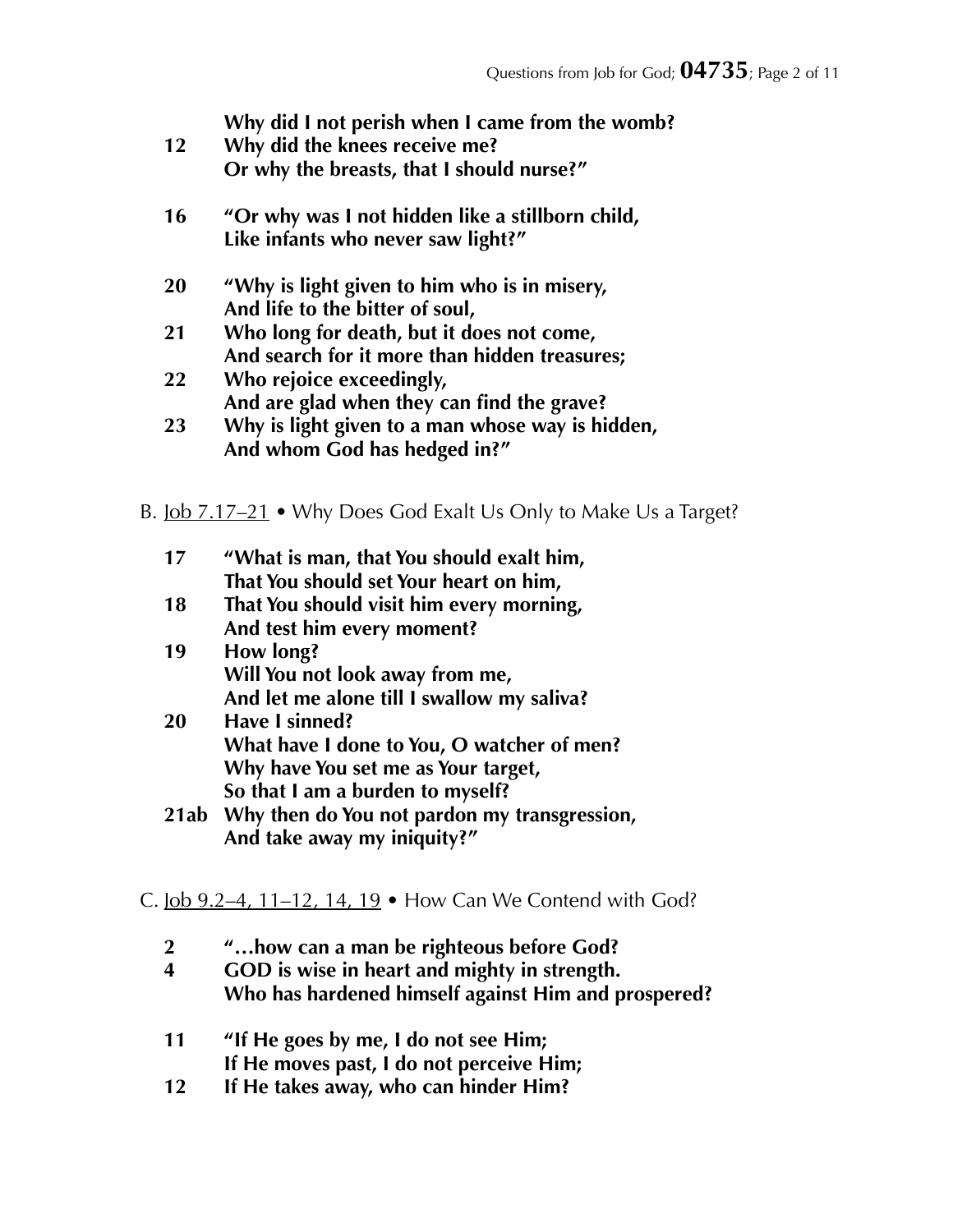| 12        | Why did I not perish when I came from the womb?<br>Why did the knees receive me?<br>Or why the breasts, that I should nurse?" |
|-----------|-------------------------------------------------------------------------------------------------------------------------------|
| 16        | "Or why was I not hidden like a stillborn child,<br>Like infants who never saw light?"                                        |
| <b>20</b> | "Why is light given to him who is in misery,<br>And life to the bitter of soul,                                               |
| 21        | Who long for death, but it does not come,<br>And search for it more than hidden treasures;                                    |
| <b>22</b> | Who rejoice exceedingly,<br>And are glad when they can find the grave?                                                        |
| 23        | Why is light given to a man whose way is hidden,                                                                              |

- **And whom God has hedged in?"**
- B. Job 7.17–21 Why Does God Exalt Us Only to Make Us a Target?

| 17        | "What is man, that You should exalt him,    |
|-----------|---------------------------------------------|
|           | That You should set Your heart on him,      |
| 18        | That You should visit him every morning,    |
|           | And test him every moment?                  |
| 19        | How long?                                   |
|           | Will You not look away from me,             |
|           | And let me alone till I swallow my saliva?  |
| <b>20</b> | Have I sinned?                              |
|           | What have I done to You, O watcher of men?  |
|           | Why have You set me as Your target,         |
|           | So that I am a burden to myself?            |
| 21ah      | Why than do You not pardon my transgrassion |

**21ab Why then do You not pardon my transgression, And take away my iniquity?"** 

#### C. Job 9.2–4, 11–12, 14, 19 • How Can We Contend with God?

- **2 "…how can a man be righteous before God?**
- **4 GOD is wise in heart and mighty in strength. Who has hardened himself against Him and prospered?**
- **11 "If He goes by me, I do not see Him; If He moves past, I do not perceive Him;**
- **12 If He takes away, who can hinder Him?**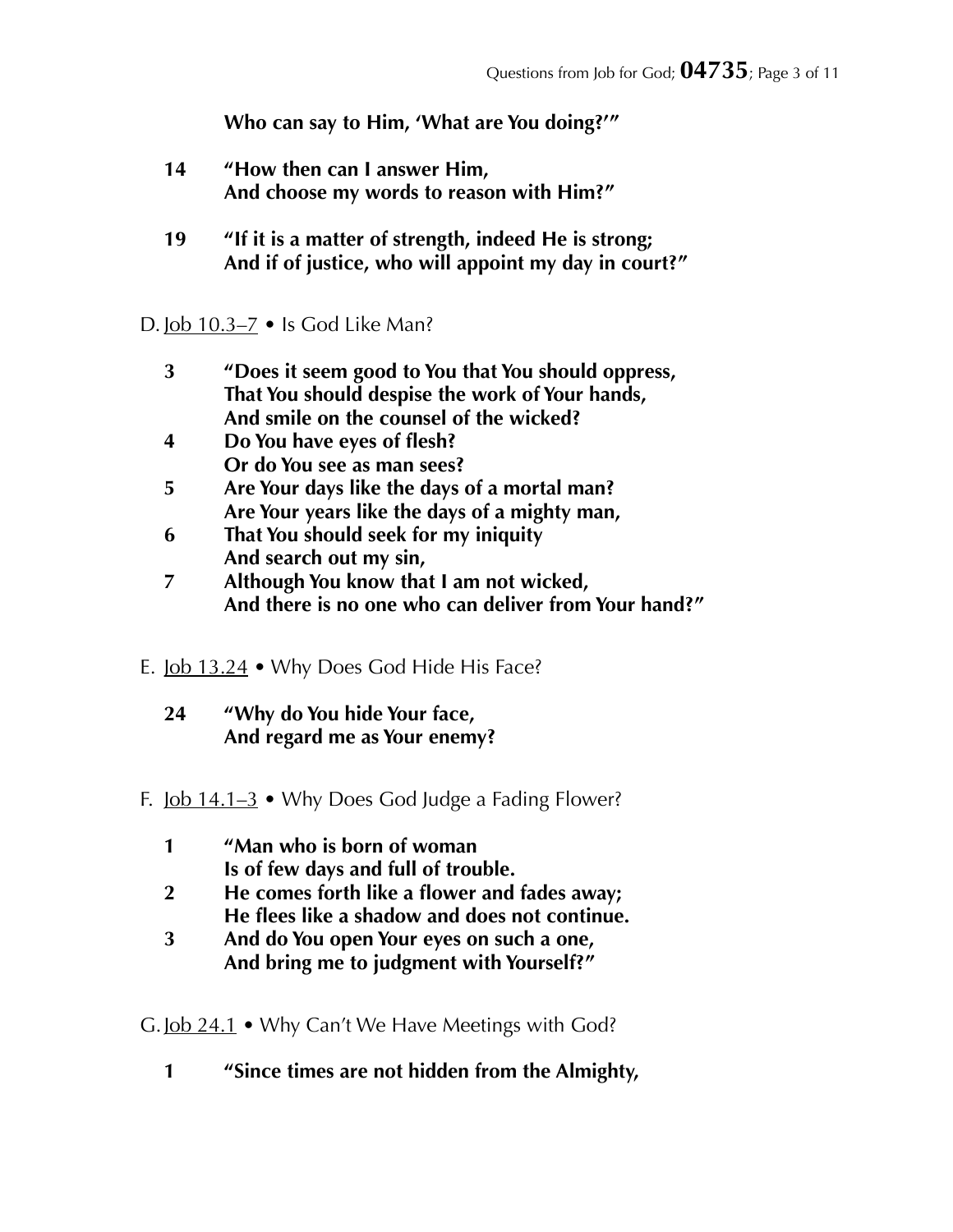**Who can say to Him, 'What are You doing?'"** 

- **14 "How then can I answer Him, And choose my words to reason with Him?"**
- **19 "If it is a matter of strength, indeed He is strong; And if of justice, who will appoint my day in court?"**

D. Job 10.3–7 • Is God Like Man?

- **3 "Does it seem good to You that You should oppress, That You should despise the work of Your hands, And smile on the counsel of the wicked?**
- **4 Do You have eyes of flesh? Or do You see as man sees?**
- **5 Are Your days like the days of a mortal man? Are Your years like the days of a mighty man,**
- **6 That You should seek for my iniquity And search out my sin,**
- **7 Although You know that I am not wicked, And there is no one who can deliver from Your hand?"**
- E. <u>Job 13.24</u> Why Does God Hide His Face?
	- **24 "Why do You hide Your face, And regard me as Your enemy?**
- F. <u>Job 14.1–3</u> Why Does God Judge a Fading Flower?
	- **1 "Man who is born of woman Is of few days and full of trouble.**
	- **2 He comes forth like a flower and fades away; He flees like a shadow and does not continue.**
	- **3 And do You open Your eyes on such a one, And bring me to judgment with Yourself?"**

G. <u>Job 24.1</u> • Why Can't We Have Meetings with God?

**1 "Since times are not hidden from the Almighty,**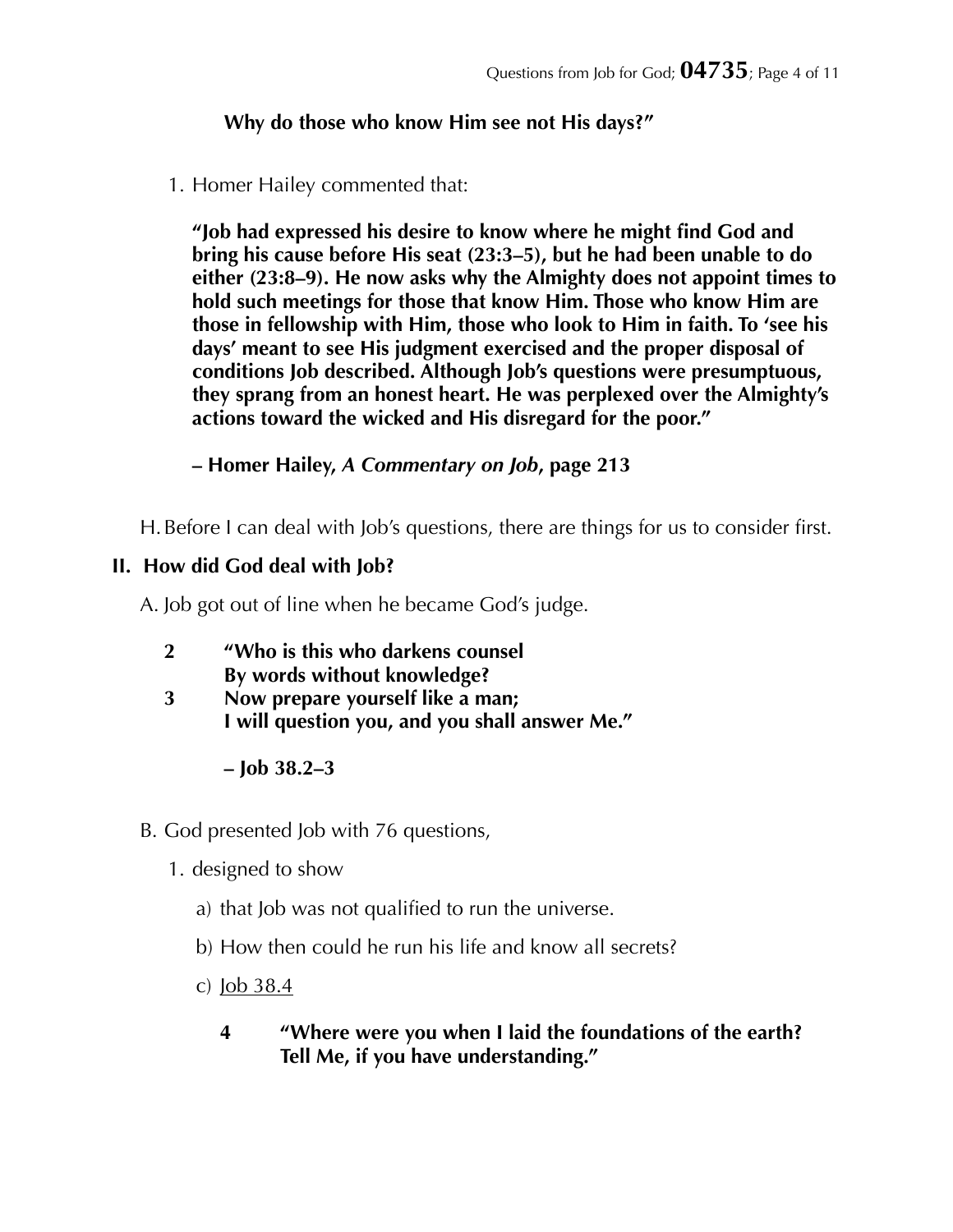## **Why do those who know Him see not His days?"**

1. Homer Hailey commented that:

**"Job had expressed his desire to know where he might find God and bring his cause before His seat (23:3–5), but he had been unable to do either (23:8–9). He now asks why the Almighty does not appoint times to hold such meetings for those that know Him. Those who know Him are those in fellowship with Him, those who look to Him in faith. To 'see his days' meant to see His judgment exercised and the proper disposal of conditions Job described. Although Job's questions were presumptuous, they sprang from an honest heart. He was perplexed over the Almighty's actions toward the wicked and His disregard for the poor."** 

**– Homer Hailey,** *A Commentary on Job***, page 213** 

H.Before I can deal with Job's questions, there are things for us to consider first.

#### **II. How did God deal with Job?**

A. Job got out of line when he became God's judge.

- **2 "Who is this who darkens counsel By words without knowledge?**
- **3 Now prepare yourself like a man; I will question you, and you shall answer Me."** 
	- **Job 38.2–3**
- B. God presented Job with 76 questions,
	- 1. designed to show
		- a) that Job was not qualified to run the universe.
		- b) How then could he run his life and know all secrets?
		- c)  $\int$ ob 38.4
			- **4 "Where were you when I laid the foundations of the earth? Tell Me, if you have understanding."**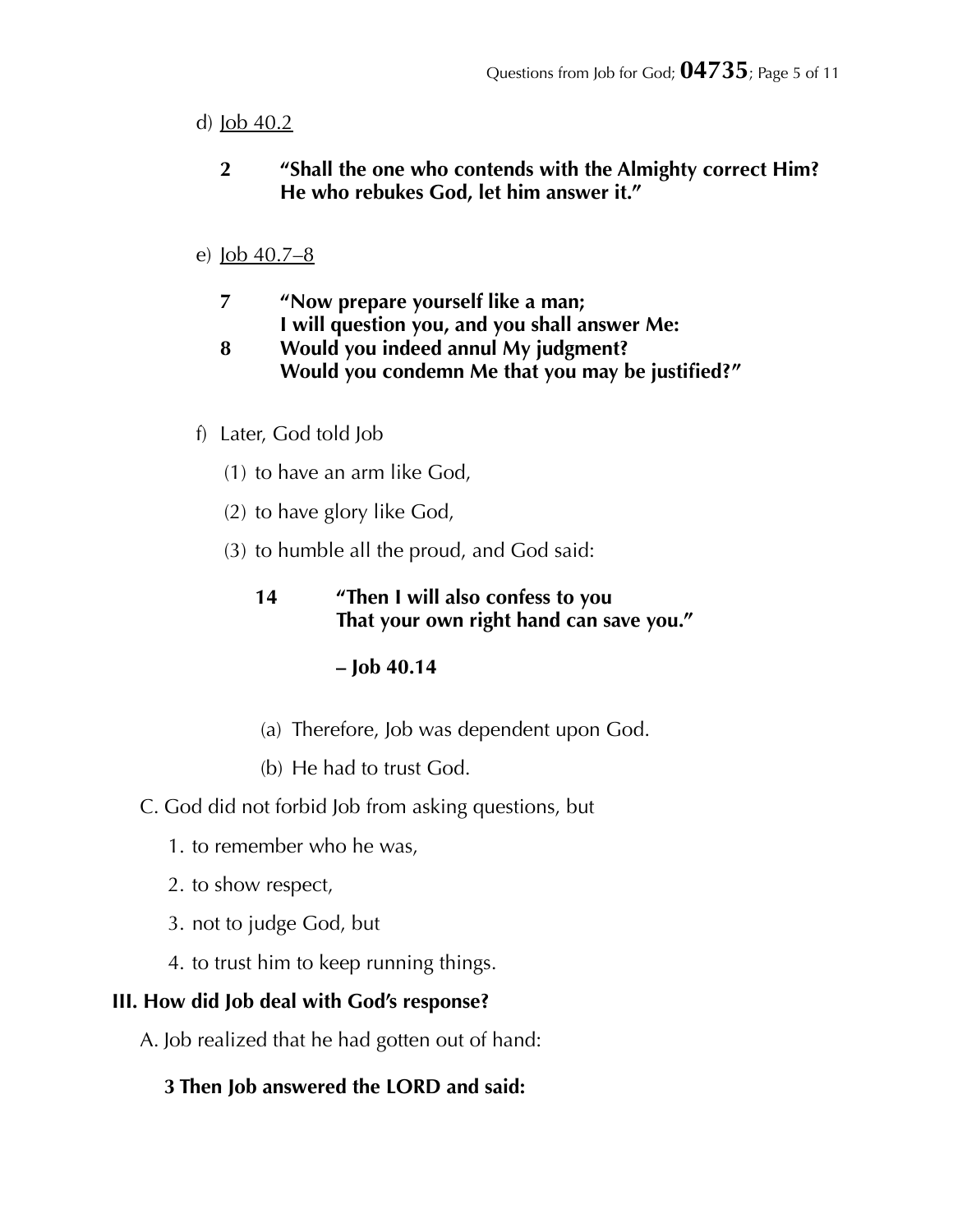#### d) Job 40.2

**2 "Shall the one who contends with the Almighty correct Him? He who rebukes God, let him answer it."** 

## e)  $\int$ ob 40.7–8

- **7 "Now prepare yourself like a man; I will question you, and you shall answer Me:**
- **8 Would you indeed annul My judgment? Would you condemn Me that you may be justified?"**
- f) Later, God told Job
	- (1) to have an arm like God,
	- (2) to have glory like God,
	- (3) to humble all the proud, and God said:

## **14 "Then I will also confess to you That your own right hand can save you."**

# **– Job 40.14**

- (a) Therefore, Job was dependent upon God.
- (b) He had to trust God.
- C. God did not forbid Job from asking questions, but
	- 1. to remember who he was,
	- 2. to show respect,
	- 3. not to judge God, but
	- 4. to trust him to keep running things.

## **III. How did Job deal with God's response?**

A. Job realized that he had gotten out of hand:

## **3 Then Job answered the LORD and said:**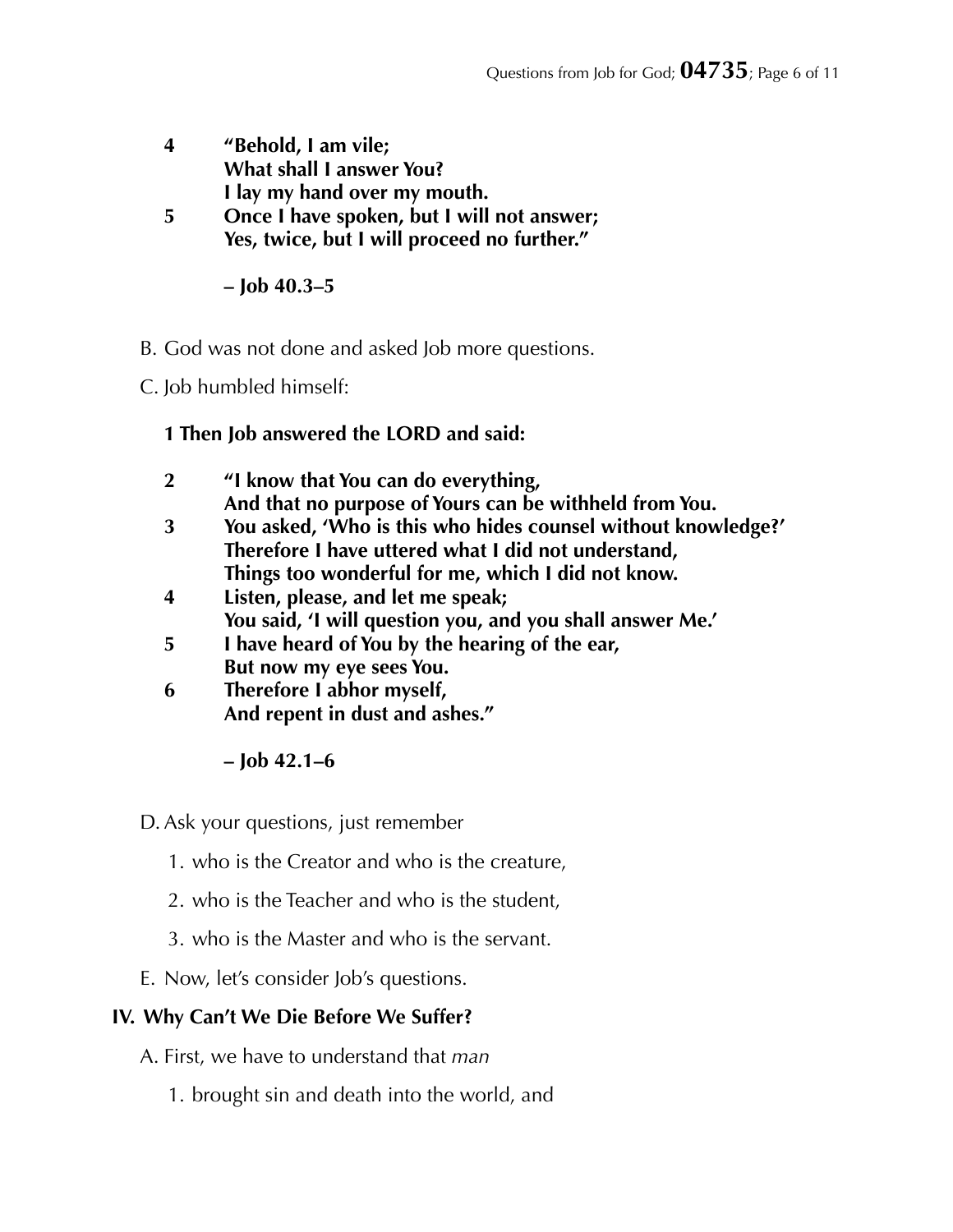**4 "Behold, I am vile; What shall I answer You? I lay my hand over my mouth.** 

**5 Once I have spoken, but I will not answer; Yes, twice, but I will proceed no further."** 

 **– Job 40.3–5** 

- B. God was not done and asked Job more questions.
- C. Job humbled himself:

**1 Then Job answered the LORD and said:** 

- **2 "I know that You can do everything, And that no purpose of Yours can be withheld from You.**
- **3 You asked, 'Who is this who hides counsel without knowledge?' Therefore I have uttered what I did not understand, Things too wonderful for me, which I did not know.**
- **4 Listen, please, and let me speak; You said, 'I will question you, and you shall answer Me.'**
- **5 I have heard of You by the hearing of the ear, But now my eye sees You.**
- **6 Therefore I abhor myself, And repent in dust and ashes."** 
	- **Job 42.1–6**
- D. Ask your questions, just remember
	- 1. who is the Creator and who is the creature,
	- 2. who is the Teacher and who is the student,
	- 3. who is the Master and who is the servant.
- E. Now, let's consider Job's questions.

#### **IV. Why Can't We Die Before We Suffer?**

- A. First, we have to understand that *man*
	- 1. brought sin and death into the world, and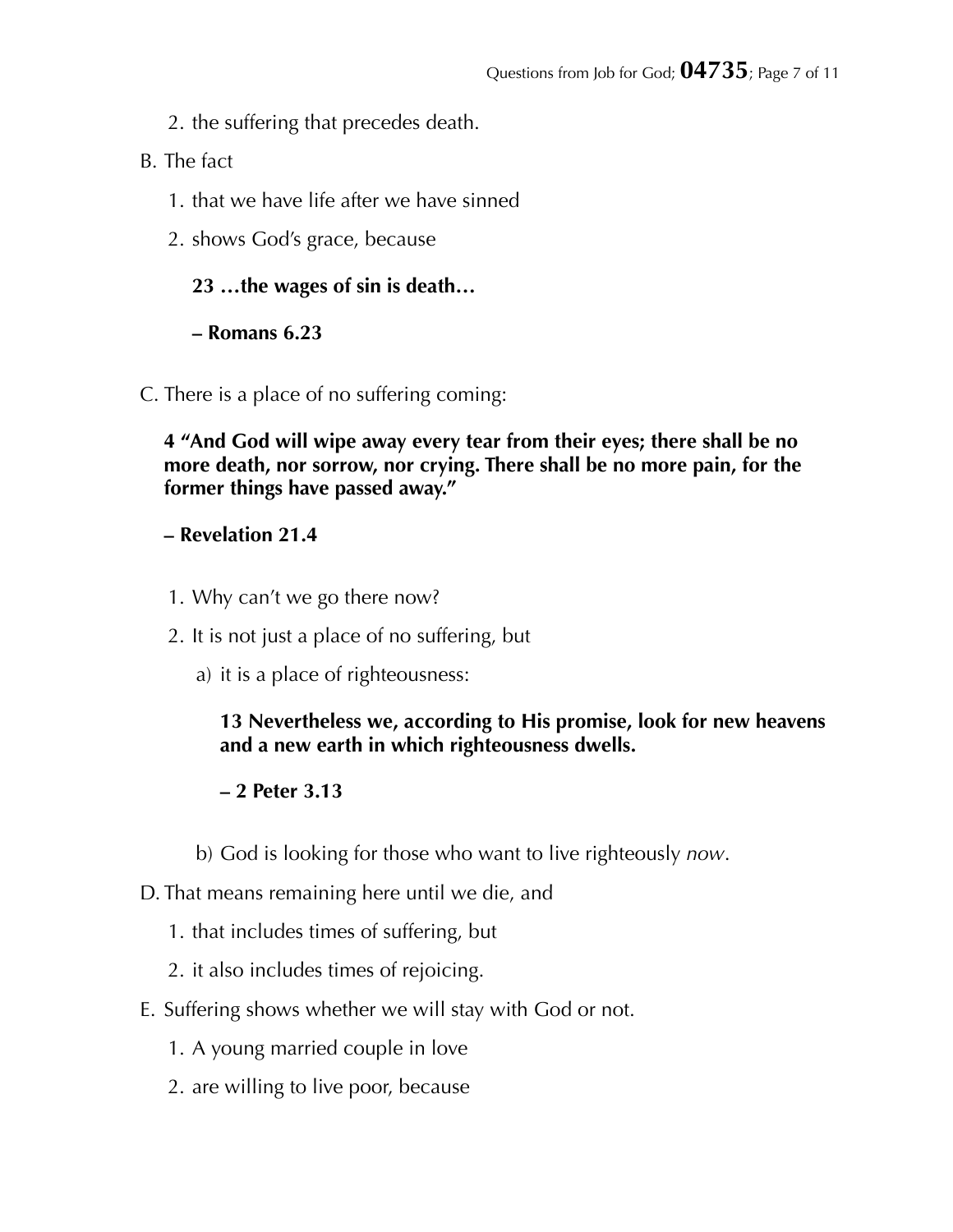- 2. the suffering that precedes death.
- B. The fact
	- 1. that we have life after we have sinned
	- 2. shows God's grace, because

## **23 …the wages of sin is death…**

**– Romans 6.23** 

C. There is a place of no suffering coming:

**4 "And God will wipe away every tear from their eyes; there shall be no more death, nor sorrow, nor crying. There shall be no more pain, for the former things have passed away."** 

## **– Revelation 21.4**

- 1. Why can't we go there now?
- 2. It is not just a place of no suffering, but
	- a) it is a place of righteousness:

#### **13 Nevertheless we, according to His promise, look for new heavens and a new earth in which righteousness dwells.**

## **– 2 Peter 3.13**

- b) God is looking for those who want to live righteously *now*.
- D. That means remaining here until we die, and
	- 1. that includes times of suffering, but
	- 2. it also includes times of rejoicing.
- E. Suffering shows whether we will stay with God or not.
	- 1. A young married couple in love
	- 2. are willing to live poor, because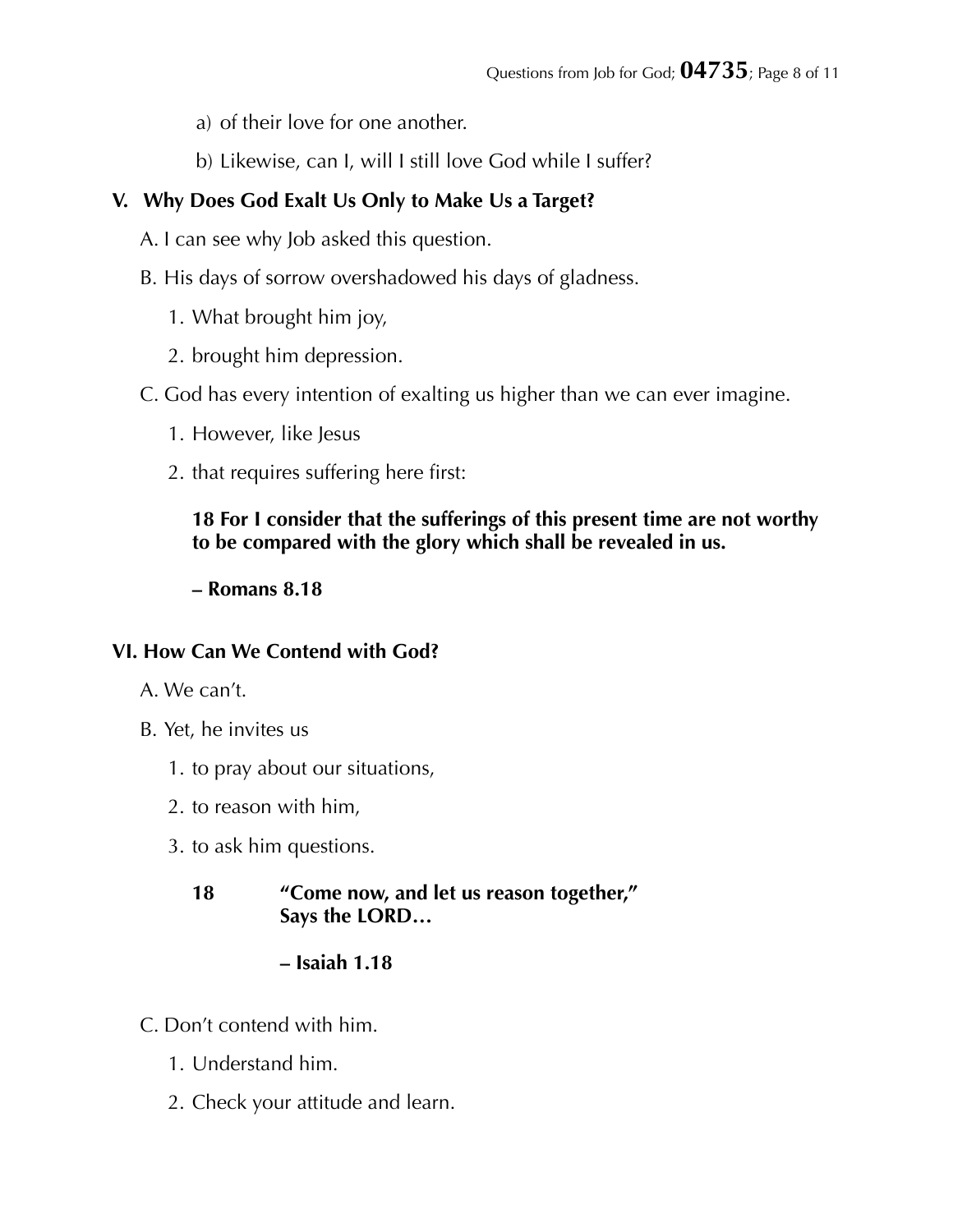- a) of their love for one another.
- b) Likewise, can I, will I still love God while I suffer?

## **V. Why Does God Exalt Us Only to Make Us a Target?**

- A. I can see why Job asked this question.
- B. His days of sorrow overshadowed his days of gladness.
	- 1. What brought him joy,
	- 2. brought him depression.
- C. God has every intention of exalting us higher than we can ever imagine.
	- 1. However, like Jesus
	- 2. that requires suffering here first:

#### **18 For I consider that the sufferings of this present time are not worthy to be compared with the glory which shall be revealed in us.**

#### **– Romans 8.18**

## **VI. How Can We Contend with God?**

- A. We can't.
- B. Yet, he invites us
	- 1. to pray about our situations,
	- 2. to reason with him,
	- 3. to ask him questions.

#### **18 "Come now, and let us reason together," Says the LORD…**

## **– Isaiah 1.18**

- C. Don't contend with him.
	- 1. Understand him.
	- 2. Check your attitude and learn.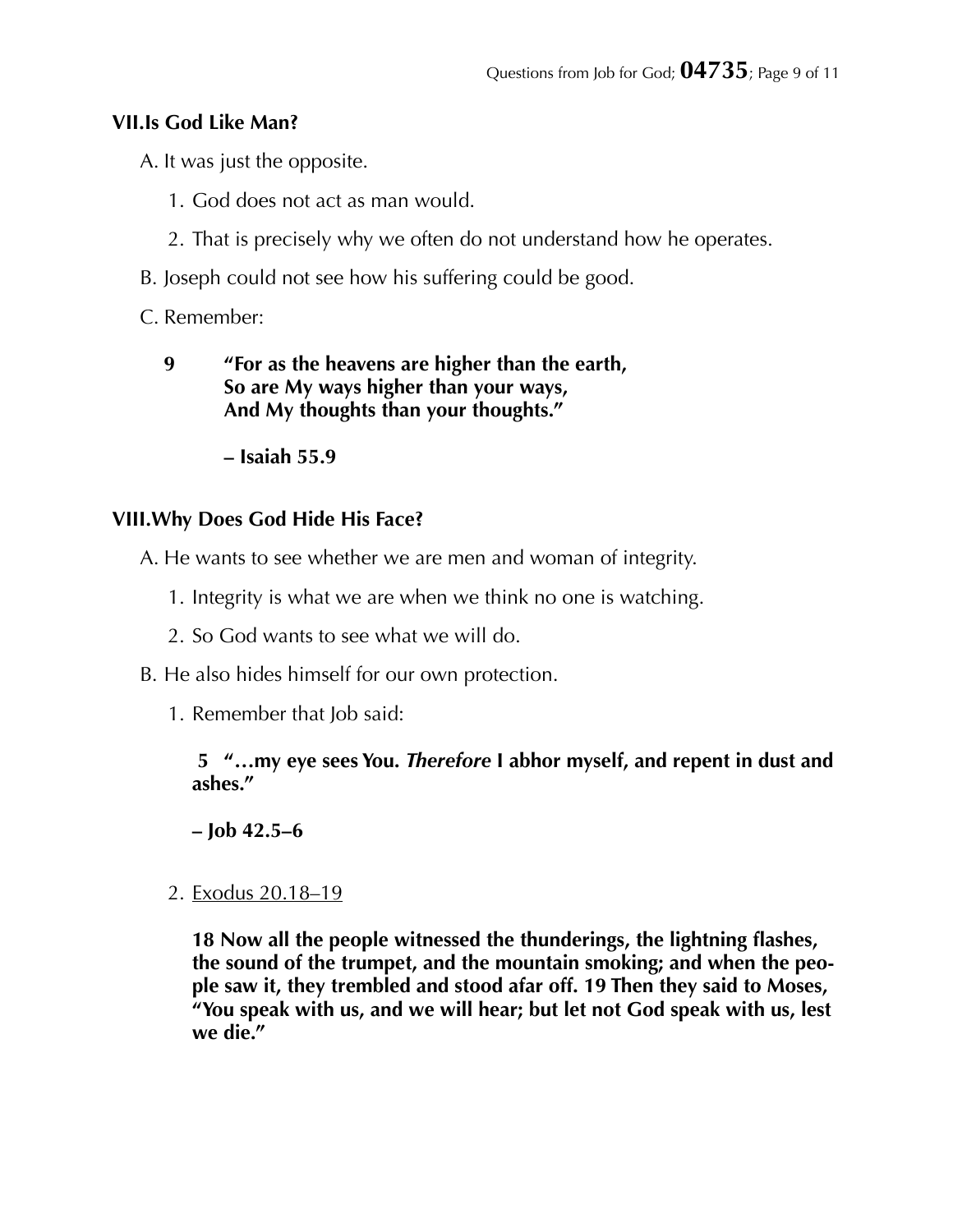#### **VII.Is God Like Man?**

A. It was just the opposite.

- 1. God does not act as man would.
- 2. That is precisely why we often do not understand how he operates.
- B. Joseph could not see how his suffering could be good.
- C. Remember:
	- **9 "For as the heavens are higher than the earth, So are My ways higher than your ways, And My thoughts than your thoughts."** 
		- **Isaiah 55.9**

## **VIII.Why Does God Hide His Face?**

A. He wants to see whether we are men and woman of integrity.

- 1. Integrity is what we are when we think no one is watching.
- 2. So God wants to see what we will do.
- B. He also hides himself for our own protection.
	- 1. Remember that Job said:

#### **5 "…my eye sees You.** *Therefore* **I abhor myself, and repent in dust and ashes."**

**– Job 42.5–6** 

2. Exodus 20.18–19

**18 Now all the people witnessed the thunderings, the lightning flashes, the sound of the trumpet, and the mountain smoking; and when the people saw it, they trembled and stood afar off. 19 Then they said to Moses, "You speak with us, and we will hear; but let not God speak with us, lest we die."**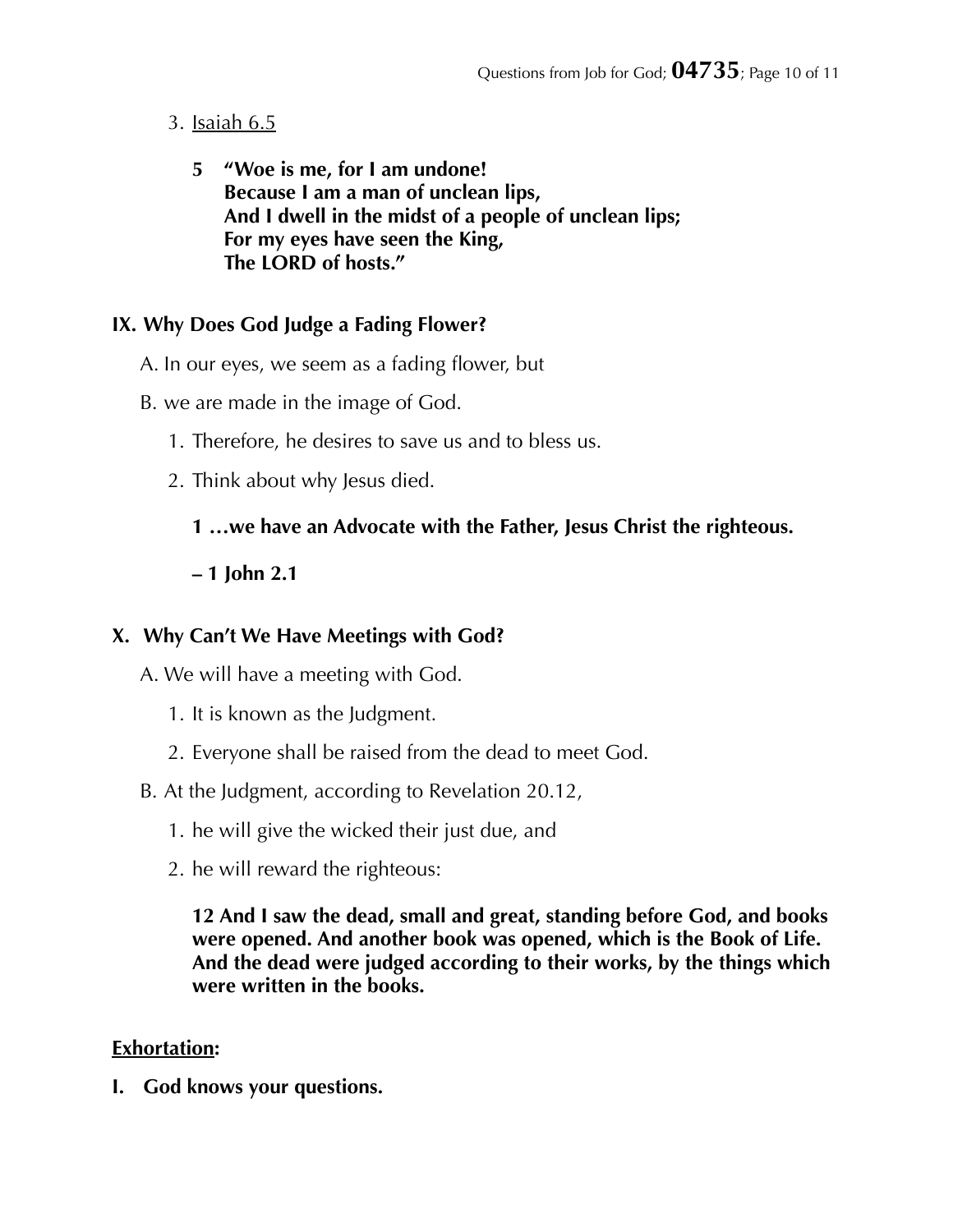## 3. Isaiah 6.5

**5 "Woe is me, for I am undone! Because I am a man of unclean lips, And I dwell in the midst of a people of unclean lips; For my eyes have seen the King, The LORD of hosts."** 

## **IX. Why Does God Judge a Fading Flower?**

- A. In our eyes, we seem as a fading flower, but
- B. we are made in the image of God.
	- 1. Therefore, he desires to save us and to bless us.
	- 2. Think about why Jesus died.
		- **1 …we have an Advocate with the Father, Jesus Christ the righteous.**

# **– 1 John 2.1**

# **X. Why Can't We Have Meetings with God?**

A. We will have a meeting with God.

- 1. It is known as the Judgment.
- 2. Everyone shall be raised from the dead to meet God.
- B. At the Judgment, according to Revelation 20.12,
	- 1. he will give the wicked their just due, and
	- 2. he will reward the righteous:

**12 And I saw the dead, small and great, standing before God, and books were opened. And another book was opened, which is the Book of Life. And the dead were judged according to their works, by the things which were written in the books.** 

# **Exhortation:**

**I. God knows your questions.**